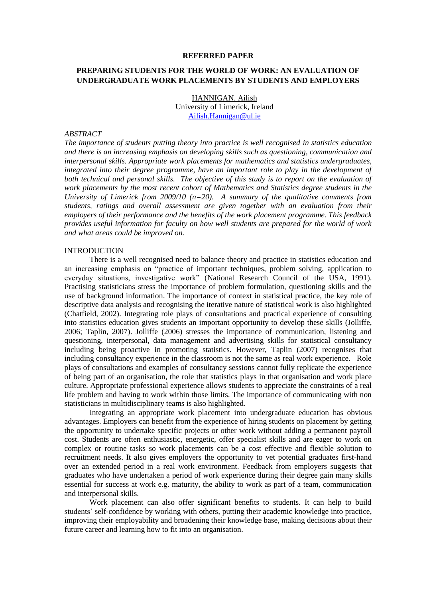#### **REFERRED PAPER**

# **PREPARING STUDENTS FOR THE WORLD OF WORK: AN EVALUATION OF UNDERGRADUATE WORK PLACEMENTS BY STUDENTS AND EMPLOYERS**

HANNIGAN, Ailish University of Limerick, Ireland [Ailish.Hannigan@ul.ie](mailto:Ailish.Hannigan@ul.ie)

### *ABSTRACT*

*The importance of students putting theory into practice is well recognised in statistics education and there is an increasing emphasis on developing skills such as questioning, communication and interpersonal skills. Appropriate work placements for mathematics and statistics undergraduates, integrated into their degree programme, have an important role to play in the development of both technical and personal skills. The objective of this study is to report on the evaluation of work placements by the most recent cohort of Mathematics and Statistics degree students in the University of Limerick from 2009/10 (n=20). A summary of the qualitative comments from students, ratings and overall assessment are given together with an evaluation from their employers of their performance and the benefits of the work placement programme. This feedback provides useful information for faculty on how well students are prepared for the world of work and what areas could be improved on.* 

## INTRODUCTION

There is a well recognised need to balance theory and practice in statistics education and an increasing emphasis on "practice of important techniques, problem solving, application to everyday situations, investigative work" (National Research Council of the USA, 1991). Practising statisticians stress the importance of problem formulation, questioning skills and the use of background information. The importance of context in statistical practice, the key role of descriptive data analysis and recognising the iterative nature of statistical work is also highlighted (Chatfield, 2002). Integrating role plays of consultations and practical experience of consulting into statistics education gives students an important opportunity to develop these skills (Jolliffe, 2006; Taplin, 2007). Jolliffe (2006) stresses the importance of communication, listening and questioning, interpersonal, data management and advertising skills for statistical consultancy including being proactive in promoting statistics. However, Taplin (2007) recognises that including consultancy experience in the classroom is not the same as real work experience. Role plays of consultations and examples of consultancy sessions cannot fully replicate the experience of being part of an organisation, the role that statistics plays in that organisation and work place culture. Appropriate professional experience allows students to appreciate the constraints of a real life problem and having to work within those limits. The importance of communicating with non statisticians in multidisciplinary teams is also highlighted.

Integrating an appropriate work placement into undergraduate education has obvious advantages. Employers can benefit from the experience of hiring students on placement by getting the opportunity to undertake specific projects or other work without adding a permanent payroll cost. Students are often enthusiastic, energetic, offer specialist skills and are eager to work on complex or routine tasks so work placements can be a cost effective and flexible solution to recruitment needs. It also gives employers the opportunity to vet potential graduates first-hand over an extended period in a real work environment. Feedback from employers suggests that graduates who have undertaken a period of work experience during their degree gain many skills essential for success at work e.g. maturity, the ability to work as part of a team, communication and interpersonal skills.

Work placement can also offer significant benefits to students. It can help to build students' self-confidence by working with others, putting their academic knowledge into practice, improving their employability and broadening their knowledge base, making decisions about their future career and learning how to fit into an organisation.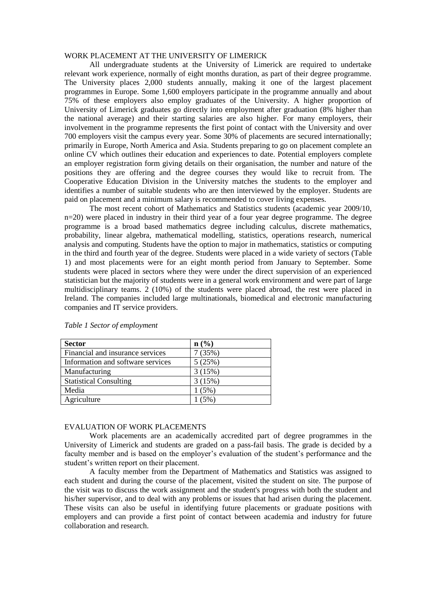### WORK PLACEMENT AT THE UNIVERSITY OF LIMERICK

All undergraduate students at the University of Limerick are required to undertake relevant work experience, normally of eight months duration, as part of their degree programme. The University places 2,000 students annually, making it one of the largest placement programmes in Europe. Some 1,600 employers participate in the programme annually and about 75% of these employers also employ graduates of the University. A higher proportion of University of Limerick graduates go directly into employment after graduation (8% higher than the national average) and their starting salaries are also higher. For many employers, their involvement in the programme represents the first point of contact with the University and over 700 employers visit the campus every year. Some 30% of placements are secured internationally; primarily in Europe, North America and Asia. Students preparing to go on placement complete an online CV which outlines their education and experiences to date. Potential employers complete an employer registration form giving details on their organisation, the number and nature of the positions they are offering and the degree courses they would like to recruit from. The Cooperative Education Division in the University matches the students to the employer and identifies a number of suitable students who are then interviewed by the employer. Students are paid on placement and a minimum salary is recommended to cover living expenses.

The most recent cohort of Mathematics and Statistics students (academic year 2009/10, n=20) were placed in industry in their third year of a four year degree programme. The degree programme is a broad based mathematics degree including calculus, discrete mathematics, probability, linear algebra, mathematical modelling, statistics, operations research, numerical analysis and computing. Students have the option to major in mathematics, statistics or computing in the third and fourth year of the degree. Students were placed in a wide variety of sectors (Table 1) and most placements were for an eight month period from January to September. Some students were placed in sectors where they were under the direct supervision of an experienced statistician but the majority of students were in a general work environment and were part of large multidisciplinary teams. 2 (10%) of the students were placed abroad, the rest were placed in Ireland. The companies included large multinationals, biomedical and electronic manufacturing companies and IT service providers.

| <b>Sector</b>                     | n(%)   |
|-----------------------------------|--------|
| Financial and insurance services  | 7(35%) |
| Information and software services | 5(25%) |
| Manufacturing                     | 3(15%) |
| <b>Statistical Consulting</b>     | 3(15%) |
| Media                             | 1(5%)  |
| Agriculture                       | (5%)   |

*Table 1 Sector of employment*

### EVALUATION OF WORK PLACEMENTS

Work placements are an academically accredited part of degree programmes in the University of Limerick and students are graded on a pass-fail basis. The grade is decided by a faculty member and is based on the employer's evaluation of the student's performance and the student's written report on their placement.

A faculty member from the Department of Mathematics and Statistics was assigned to each student and during the course of the placement, visited the student on site. The purpose of the visit was to discuss the work assignment and the student's progress with both the student and his/her supervisor, and to deal with any problems or issues that had arisen during the placement. These visits can also be useful in identifying future placements or graduate positions with employers and can provide a first point of contact between academia and industry for future collaboration and research.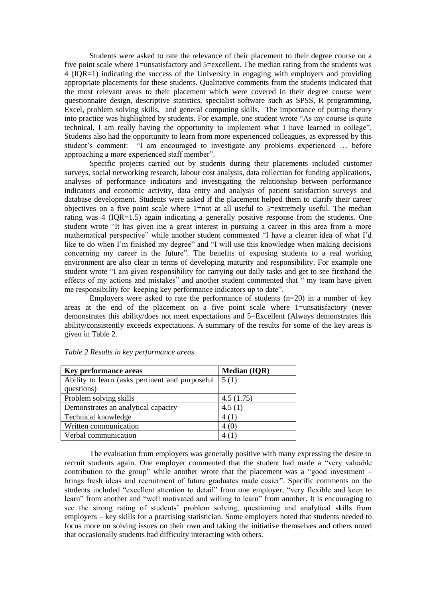Students were asked to rate the relevance of their placement to their degree course on a five point scale where 1=unsatisfactory and 5=excellent. The median rating from the students was 4 (IQR=1) indicating the success of the University in engaging with employers and providing appropriate placements for these students. Qualitative comments from the students indicated that the most relevant areas to their placement which were covered in their degree course were questionnaire design, descriptive statistics, specialist software such as SPSS, R programming, Excel, problem solving skills, and general computing skills. The importance of putting theory into practice was highlighted by students. For example, one student wrote "As my course is quite technical, I am really having the opportunity to implement what I have learned in college". Students also had the opportunity to learn from more experienced colleagues, as expressed by this student's comment: "I am encouraged to investigate any problems experienced … before approaching a more experienced staff member".

Specific projects carried out by students during their placements included customer surveys, social networking research, labour cost analysis, data collection for funding applications, analyses of performance indicators and investigating the relationship between performance indicators and economic activity, data entry and analysis of patient satisfaction surveys and database development. Students were asked if the placement helped them to clarify their career objectives on a five point scale where 1=not at all useful to 5=extremely useful. The median rating was 4 (IQR=1.5) again indicating a generally positive response from the students. One student wrote "It has given me a great interest in pursuing a career in this area from a more mathematical perspective" while another student commented "I have a clearer idea of what I'd like to do when I'm finished my degree" and "I will use this knowledge when making decisions concerning my career in the future". The benefits of exposing students to a real working environment are also clear in terms of developing maturity and responsibility. For example one student wrote "I am given responsibility for carrying out daily tasks and get to see firsthand the effects of my actions and mistakes" and another student commented that " my team have given me responsibility for keeping key performance indicators up to date".

Employers were asked to rate the performance of students  $(n=20)$  in a number of key areas at the end of the placement on a five point scale where 1=unsatisfactory (never demonstrates this ability/does not meet expectations and 5=Excellent (Always demonstrates this ability/consistently exceeds expectations. A summary of the results for some of the key areas is given in Table 2.

| <b>Key performance areas</b>                    | <b>Median (IQR)</b> |
|-------------------------------------------------|---------------------|
| Ability to learn (asks pertinent and purposeful | 5(1)                |
| questions)                                      |                     |
| Problem solving skills                          | 4.5(1.75)           |
| Demonstrates an analytical capacity             | 4.5(1)              |
| Technical knowledge                             | 4(1)                |
| Written communication                           | 4(0)                |
| Verbal communication                            | 4(1)                |

*Table 2 Results in key performance areas*

The evaluation from employers was generally positive with many expressing the desire to recruit students again. One employer commented that the student had made a "very valuable contribution to the group" while another wrote that the placement was a "good investment – brings fresh ideas and recruitment of future graduates made easier". Specific comments on the students included "excellent attention to detail" from one employer, "very flexible and keen to learn" from another and "well motivated and willing to learn" from another. It is encouraging to see the strong rating of students' problem solving, questioning and analytical skills from employers – key skills for a practising statistician. Some employers noted that students needed to focus more on solving issues on their own and taking the initiative themselves and others noted that occasionally students had difficulty interacting with others.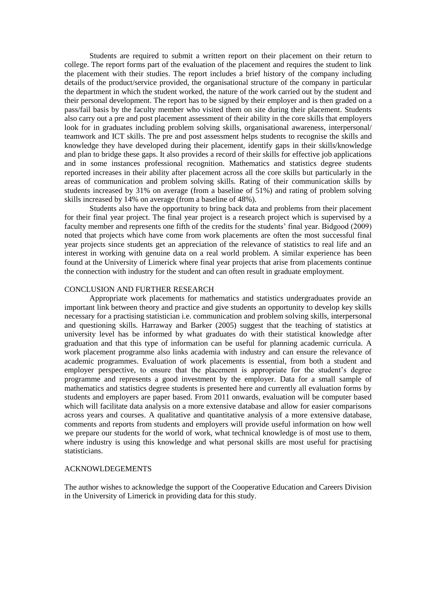Students are required to submit a written report on their placement on their return to college. The report forms part of the evaluation of the placement and requires the student to link the placement with their studies. The report includes a brief history of the company including details of the product/service provided, the organisational structure of the company in particular the department in which the student worked, the nature of the work carried out by the student and their personal development. The report has to be signed by their employer and is then graded on a pass/fail basis by the faculty member who visited them on site during their placement. Students also carry out a pre and post placement assessment of their ability in the core skills that employers look for in graduates including problem solving skills, organisational awareness, interpersonal/ teamwork and ICT skills. The pre and post assessment helps students to recognise the skills and knowledge they have developed during their placement, identify gaps in their skills/knowledge and plan to bridge these gaps. It also provides a record of their skills for effective job applications and in some instances professional recognition. Mathematics and statistics degree students reported increases in their ability after placement across all the core skills but particularly in the areas of communication and problem solving skills. Rating of their communication skills by students increased by 31% on average (from a baseline of 51%) and rating of problem solving skills increased by 14% on average (from a baseline of 48%).

Students also have the opportunity to bring back data and problems from their placement for their final year project. The final year project is a research project which is supervised by a faculty member and represents one fifth of the credits for the students' final year. Bidgood (2009) noted that projects which have come from work placements are often the most successful final year projects since students get an appreciation of the relevance of statistics to real life and an interest in working with genuine data on a real world problem. A similar experience has been found at the University of Limerick where final year projects that arise from placements continue the connection with industry for the student and can often result in graduate employment.

### CONCLUSION AND FURTHER RESEARCH

Appropriate work placements for mathematics and statistics undergraduates provide an important link between theory and practice and give students an opportunity to develop key skills necessary for a practising statistician i.e. communication and problem solving skills, interpersonal and questioning skills. Harraway and Barker (2005) suggest that the teaching of statistics at university level has be informed by what graduates do with their statistical knowledge after graduation and that this type of information can be useful for planning academic curricula. A work placement programme also links academia with industry and can ensure the relevance of academic programmes. Evaluation of work placements is essential, from both a student and employer perspective, to ensure that the placement is appropriate for the student's degree programme and represents a good investment by the employer. Data for a small sample of mathematics and statistics degree students is presented here and currently all evaluation forms by students and employers are paper based. From 2011 onwards, evaluation will be computer based which will facilitate data analysis on a more extensive database and allow for easier comparisons across years and courses. A qualitative and quantitative analysis of a more extensive database, comments and reports from students and employers will provide useful information on how well we prepare our students for the world of work, what technical knowledge is of most use to them, where industry is using this knowledge and what personal skills are most useful for practising statisticians.

### ACKNOWLDEGEMENTS

The author wishes to acknowledge the support of the Cooperative Education and Careers Division in the University of Limerick in providing data for this study.